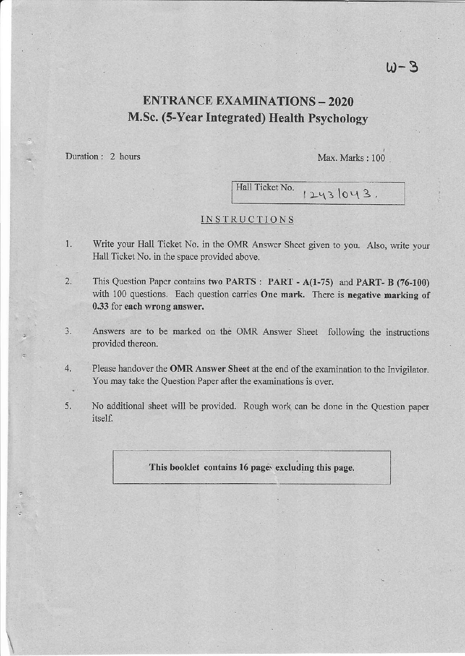# ENTRANCE EXAMINATIONS - 2O2O M.Sc. (S-Year Integrated) Health Psychology

Duration : 2 hours

.

Max. Marks : 100

Hall Ticket No.  $12431043$ .

#### INSTRUCTIONS

- 1. Write your Hall Ticket No. in the OMR Answer Sheet given to you. Also, write your Hall Ticket No. in the space provided above.
- 2. This Question Paper contains two PARTS : PART A(1-75) and PART- B (76-100) with 100 questions. Each question carries One mark. There is negative marking of 0.33 for each wrong answer.
- 3. Answers are to be marked on the OMR Answer Sheet following the instructions provided thereon.
- 4. Please handover the OMR Answer Sheet at the end of the examination to the Invigilator. You may take the Question Paper after the examinations is over.
- 5. No additional sheet will be provided. Rough work can be done in the Question paper itself.

### This booklet contains 16 pages excluding this page.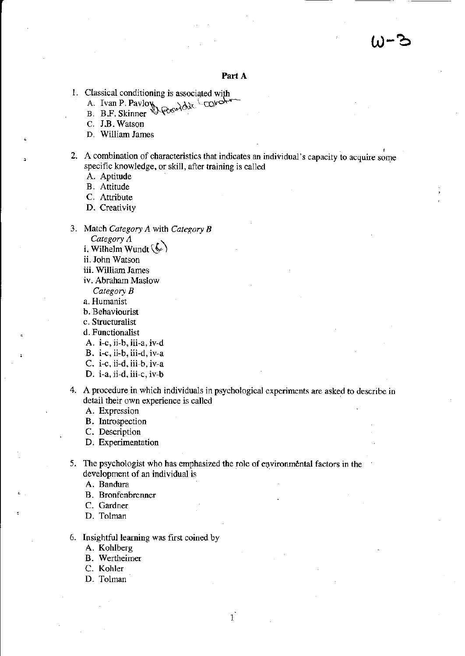#### Part A

- 1. Classical conditioning is associated with
	- A. Ivan P. Pavloy / COLO **Rosephin**
	- B. B.F. Skinner
	- C. J.B. Watson
	- D. William James
- 2. A combination of characteristics that indicates an individual's capacity to acquire some specific knowledge, or skill, after training is called
	- A. Aptitude
	- **B.** Attitude
	- C. Attribute
	- D. Creativity
- 3. Match Category A with Category B
	- Category  $\Lambda$
	- i. Wilhelm Wundt  $(\zeta)$
	- ii. John Watson
	- iii. William James
	- iv. Abraham Maslow
	- Category  $B$
	- a. Humanist
	- b. Behaviourist
	- c. Structuralist
	- d. Functionalist
	- A. i-c, ii-b, iii-a, iv-d
	- B. i-c, ii-b, iii-d, iv-a
	- C.  $i-c$ ,  $i-d$ ,  $iii-b$ ,  $iv-a$
	- D. i-a, ii-d, iii-c, iv-b
- 4. A procedure in which individuals in psychological experiments are asked to describe in detail their own experience is called

A. Expression

- B. Introspection
- C. Description
- D. Experimentation
- 5. The psychologist who has emphasized the role of environmental factors in the development of an individual is

 $\mathbf{i}$ 

A. Bandura

- **B.** Bronfenbrenner
- C. Gardner
- D. Tolman
- 6. Insightful learning was first coined by
	- A. Kohlberg
	- **B.** Wertheimer
	- C. Kohler
	- D. Tolman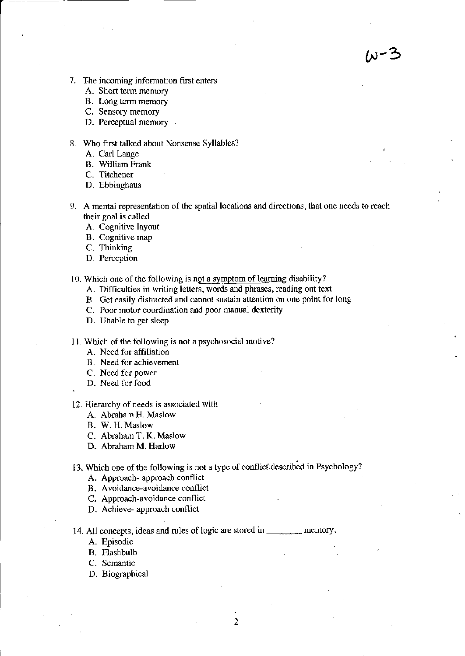w-3

- 7. The incoming information first enters
	- A. Short term memoty
	- B. Lorg tcrm memory
	- C. Sensory memory
	- D. Perceptual memory

#### 8. who first talked about Nonsense Syllables?

- A. Carl Lange
- B. William Frank
- C. Titchener
- D. Ebbinghaus
- 9. A mental representation of the spatial locations and directions, that one needs to reach their goal is called
	- A. Cognitive layout
	- B. Cognitive map
	- C. Thinking
	- D. Perccption
- 10. Which one of the following is not a symptom of learning disability?
	- A. Difficulties in writing letters, words and phrases, reading out text
	- B. Get easily distracted and cannot sustain attention on one point for long
	- C. Poor motor coordination and poor manual dexterity
	- D. Unable to get sleep
- 11. Which of the following is not a psychosocial motive?
	- A. Need for affiliation
	- B. Need for achievement
	- C. Need for pouer
	- D. Need for food

.

- 12. Hierarchy of needs is associated with
	- A. Abraham H. Maslow
	- B. W. H. Maslow
	- C. Abraham T. K. Maslow
	- D. Abraham M. Harlow

13. Which one of the following is not a type of conflict described in Psychology?

- A. Approach- approach conflict
- B. Avoidance-avoidance conflict
- C. Approach-avoidance conflict
- D. Achieve- approach conflict

14. All concepts, ideas and rules of logic are storcd in memory.

- A. Episodic
- B. Flashbulb
- C. Semantic
- D. Biographical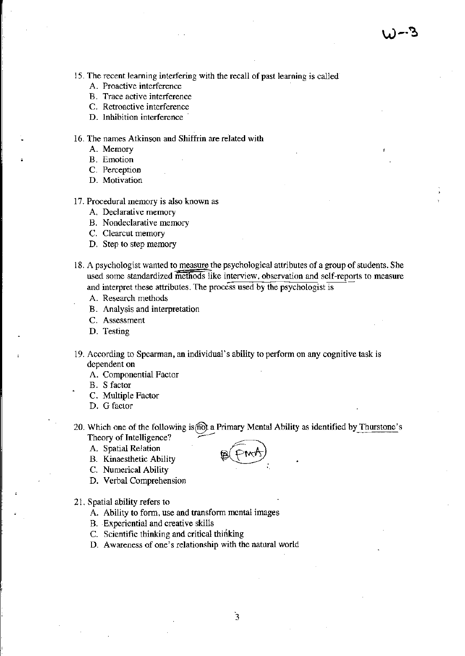15. The recent learning interfering with the recall of past learning is called

- A. Proactive interference
- B. Trace active interference
- C. Retroactive interference
- D. Inhibition interference

16. The names Atkinson and Shiffrin are related with

- A. Memory
- **B.** Emotion
- C. Perception
- D. Motivation
- 17. Procedural memory is also known as
	- A. Declarative memory
	- B. Nondeclarative memory
	- C. Clearcut memory
	- D. Step to step memory
- 18. A psychologist wanted to measure the psychological attributes of a group of students. She used some standardized methods like interview, observation and self-reports to measure and interpret these attributes. The process used by the psychologist is
	- A. Research methods
	- B. Analysis and interpretation
	- C. Assessment
	- D. Testing
- 19. According to Spearman, an individual's ability to perform on any cognitive task is dependent on
	- A. Componential Factor
	- B. S factor
	- C. Multiple Factor
	- D. G factor
- 20. Which one of the following is fight a Primary Mental Ability as identified by Thurstone's Theory of Intelligence?
	- A. Spatial Relation
	- **B.** Kinaesthetic Ability
	- C. Numerical Ability
	- D. Verbal Comprehension
- 21. Spatial ability refers to
	- A. Ability to form, use and transform mental images
	- B. Experiential and creative skills
	- C. Scientific thinking and critical thinking
	- D. Awareness of one's relationship with the natural world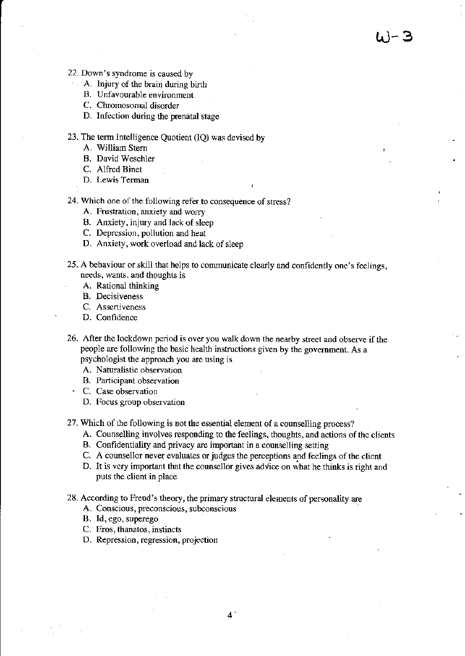- 22. Down's syndrome is caused by
	- A. Injury of fte brain during birth
	- B. Unfavourable environment
	- C. Chromosomal disorder
	- D. Infection during the prenatal stage
- 23. The term Intelligence Quotient (lQ) was devised by
	- A. William Stem
	- B. David Weschler
	- C. Alfred Binet
	- D. Lewis Terman

24. Which one of the following refer to consequence of stress?

- A. Frustration, anxiety and worry
- B. Anxiety, injury and lack of sleep
- C. Depression, pollution and heat
- D. Anxiety, work overload and lack of sleep
- 25. A behaviour or skill that helps to communicate clcarly and confidently one's feelings, needs, wants, and thoughts is
	- A. Rational thinking
	- B. Decisiveness
	- C. Assertiveness<br>D. Confidence
	-
- 26. After the lockdown period is over you walk down the nearby street and observe if the people are following the basic health instructions given by the government. As a psychologist the approach you are using is
	- A. Naturalistic observation
	- B. Participant observation
	- ' C. Case observation
		- D. Focus group observation
- 27. Which of the following is not the essential element of a counselling process?
	- A. Counselling involves responding to the feelings, thoughts, and actions of thc clients
	- B. Confidentiality and privacy are important in a counselling setting
	- C. A counsellor never evaluates or judges the perceptions and feelings of the clicnt
	- D. It is very important that the counsellor gives advice on what he thinks is right and puts the client in place
- 28. According to Freud's theory, the primary structural elements of personality are
	- A. Conscious, preconscious, subconscious
	- B. Id, ego, superego
	- C. Eros, thanatos, instincts
	- D. Repression, regression, projection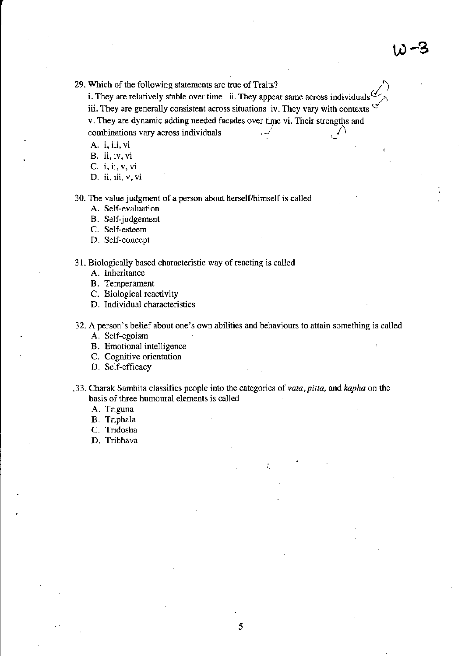29. Which of the following statements are true of Traits?

i. They are relatively stable over time ii. They appear same across individuals iii. They are generally consistent across situations iv. They vary with contexts v. They are dynamic adding needed facades over time vi. Their strengths and combinations vary across individuals 1

A. i, iii, ti

B. ii, iv, vi

C. i, ii, v, vi

D. ii, iii, v, vi

30. The value judgment of a person about herself/himself is called

- A. Self-evaluation
- B. Self-judgement
- C. Self-esteem
- D. Self-concept

31. Biologically based characteristic way of reacting is called

- A. lnheritance
- B. Temperament
- C. Biological reactivity
- D. Individual characteristics

32. A person's belief about one's own abilities and behaviours to attain something is called

- A. Self-egoism
- B. Emotional intelligence
- c. cogaitivc oricntation
- D. Self-efficacy
- .33. Charak Samhita classifies people into the categories of vata, pitta, and kapha on the basis of three humoural elements is called
	- A. Triguna
	- B. Triphala
	- C. Tridosha
	- D. Tribhava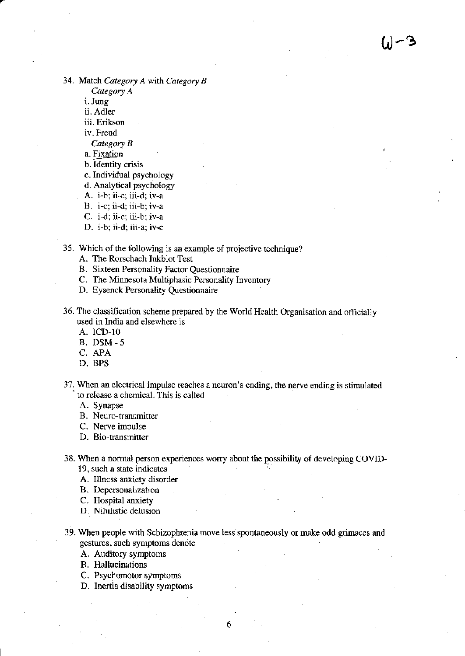34. Match Category A with Category B

Category A

i. Jung

ii. Adler

iii. Erikson

iv. Freud

Category B

a. Fixation

b. Identity crisis

c. Individual psychology

d. Analytical psychology

A. i-b; ii-c; iii-d; iv-a

B. i-c; ii-d; iii-b; iv-a

C. i-d; ii-c; iii-b; iv-a

D. i-b; ii-d; iii-a; iv-c

35. Which of the following is an example of projective technique?

A. The Rorschach Inkblot Test

B. Sixteen Personality Factor Questionnaire

C. The Minnesota Multiphasic Personality Inventory

D. Eysenck Personality Questionnaire

36. The classification scheme prepared by the World Health Organisation and officially used in India and elsewhere is

A. lcD-10

B. DSM-5

C. APA

D. BPS

37. When an electrical impulse reaches a neuron's cnding, the nerve ending is stimulated to release a chemical. This is called

A. Synapse

B. Neuro-transmitter

C. Nerve impulse

D. Bio-transmitter

38. When a normal person experiences worry about the possibility of developing COVID-

19, such a state indicates

A. Illness anxiety disorder

B. Depersonalization

C. Hospital anxiety

D. Nihilistic delusion

39. When people with Schizophrenia move less spontaneously or make odd grimaces and gestues, such symptoms denote

A. Auditory symptoms

B. Hallucinations

C. Psychomotor symptoms

D. Inertia disability symptoms

6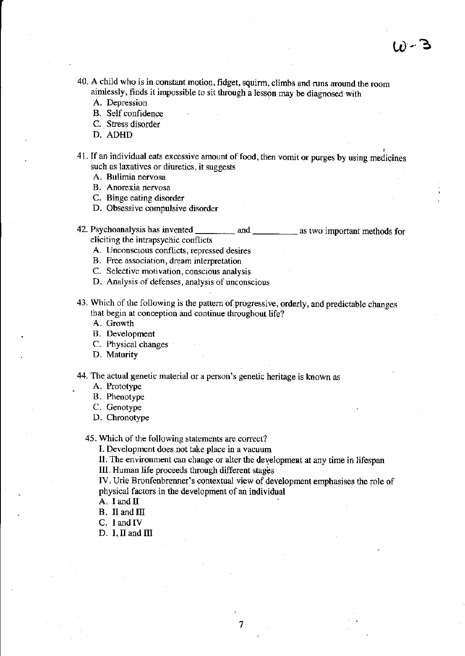- 40. A child who is in constant motion, fidget, squirm, climbs and runs around the room aimlessly, finds it impossible to sit through a lesson may be diagnosed with
	- A. Depression
	- B. Self confidence
	- C. Stress disorder
	- D. ADHD
- 41. If an individual eats excessive amount of food, then vomit or purges by using medicines such as laxatives or diuretics, it suggests
	- A. Bulimia nervosa
	- B. Anorexia nervosa
	- C. Binge eating disorder
	- D. Obsessive compulsive disorder
- 42. Psychoanalysis has invented \_\_\_\_\_\_\_\_\_\_\_ and \_\_\_\_\_\_\_\_\_\_\_ as two important methods for eliciting the intrapsychic conflicts
	- A. Unconscious conflicts, repressed desires
	- B. Free association, dream inlerpretation
	- C. Selective motivation, conscious analysis
	- D. Analysis of defenses, analysis of unconscious
- 43. Which of the following is the pattem of progressive, orderly, and predictable changcs that begin at conception and continue throughout life?
	- A. Growth
	- B. Development
	- C. Physical changes
	- D. Maturity
- 44. The actual genetic material or a person's genetic heritage is known as
	- A. Prototype
	- B. Pheootype
	- C. Cenorype
	- D. Chronotype

45 . Which of the following statements are correct?

I. Development does not take place in a vacuum

ll. The environment can change or alter the development at any time in lifespan

III. Human life proceeds through different stages

IV. Urie Bronfenbrenner's contextual view of development emphasises the role of physical factors in the development of an individual

- A. I and ll
- B. II and III
- C. I and IV
- D. I,II and III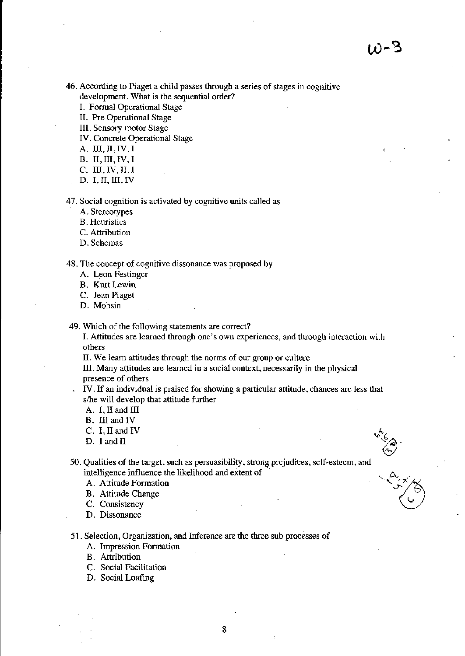46. According to Piaget a child passes through a series of stages in cognitive development. What is the sequential order?

I. Formal Operational Stage

II. Pre Operational Stage

III. Sensory motor Stage

IV. Concrete Operational Stage

A. III, II, IV, I

 $B. II, III, IV, I$ 

C. III, IV, II, I

 $D. I, II, III, IV$ 

47. Social cognition is activated by cognitive units called as

A. Stereotypes

**B.** Heuristics

C. Attribution

D. Schemas

48. The concept of cognitive dissonance was proposed by

A. Leon Festinger

**B.** Kurt Lewin

C. Jean Piaget

D. Mohsin

49. Which of the following statements are correct?

I. Attitudes are learned through one's own experiences, and through interaction with others

II. We learn attitudes through the norms of our group or culture

III. Many attitudes are learned in a social context, necessarily in the physical presence of others

IV. If an individual is praised for showing a particular attitude, chances are less that s/he will develop that attitude further

A. I, II and III

B. III and IV

C. I, II and IV

D. 1 and II

50. Qualities of the target, such as persuasibility, strong prejudices, self-esteem, and intelligence influence the likelihood and extent of

A. Attitude Formation

**B.** Attitude Change

C. Consistency

D. Dissonance

51. Selection, Organization, and Inference are the three sub processes of

A. Impression Formation

**B.** Attribution

C. Social Facilitation

D. Social Loafing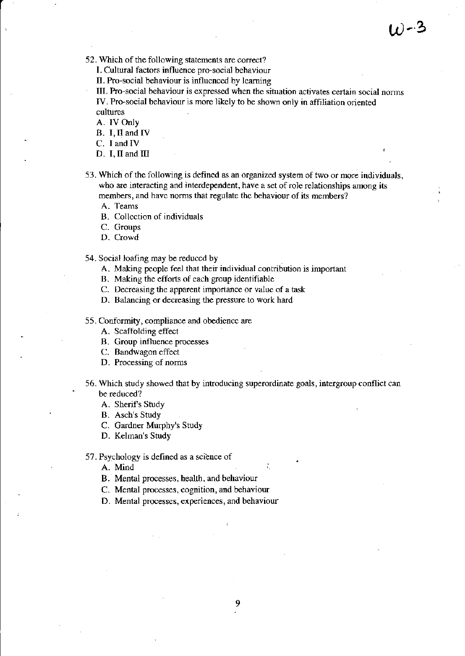$\omega$ -3

52. Which of the following statements are correct?

l. Cultural factors influence pro-social behaviour

II. Pro-social behaviour is influenced by learning

lII. Pro-social behaviour is expressed when the situation activates certain social norms IV. Pro-social behaviour is more likely to be shown only in affiliation oriented cultures

A. IV Only

B. I,Il and IV

C. I and IV

- $D. I, II$  and  $III$
- 53 . Which of the lollowing is defined as an organized system of two or more individuals, who are interacting and interdependent, have a set of role relationships among its members, and have norms that regulate the behaviour of its members?
	- A. Teams
	- B. Collcction of individuals
	- C. Groups
	- D. Crowd

54. Social loafing may be reduccd by

- A. Making people feel that their individual contributjon is important
- B. Making the efforts of each group identifiable
- C. Decreasing the apparent importance or value of a task
- D. Balancing or decreasing the pressure to work hard

55. Conformity, compliance and obedicncc are

- A. Scaffolding effect
- B. Group influence processes

C. Bandwagon effect

- D. Processing of norms
- 56. Which study showed that by introducing superordinate goals, intergroup conflict can be reduced?
	- A. Sherif's Study
	- B. Asch's Study
	- C. Gardner Murphy's Study
	- D. Kelman's Study

<sup>57</sup>. Psychology is defined as a science of

A. Mind

- B. Mental processes, health, and behaviour
- C. Mental processes, cognition, and behaviour
- D. Mental processes, experiences, and behaviour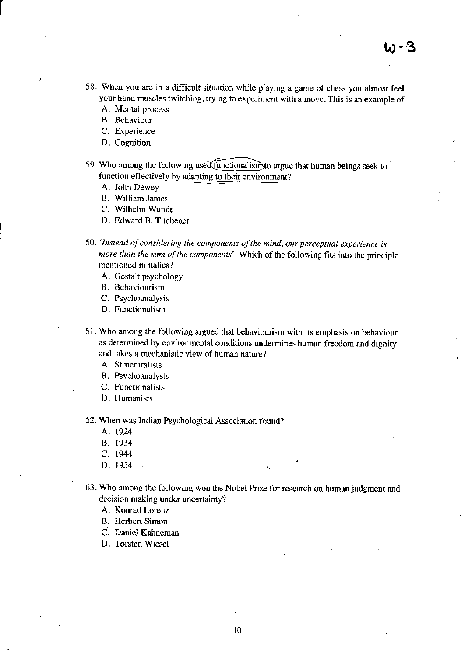- 58. When you are in a difficult situation while playing a game of chess you almost feel your hand muscles twitching, trying to experiment with a move. This is an example of
	- A. Mental process
	- B. Behaviour
	- C. Experience
	- D. Cognition
- 59. Who among the following used functionalism to argue that human beings seek to function effectively by adapting to their environment?
	- A. John Dewey
	- B. William James
	- C. Wilhelm Wundt
	- D. Edward B. Titchener
- 60. 'Instead of considering the components of the mind, our perceptual experience is more than the sum of the components'. Which of the following fits into the principle mentioned in italics?
	- A. Gestalt psychology
	- B. Behaviourism
	- C. Psychoanalysis
	- D. Functionalism
- 61. Who among the following argued that behaviourism with its emphasis on behaviour as determined by environmental conditions undermines human freedom and dignity and takes a mechanistic view of human nature?
	- A. Structuralists
	- **B.** Psychoanalysts
	- C. Functionalists
	- D. Humanists

62. When was Indian Psychological Association found?

- A. 1924
- B. 1934
- C. 1944
- D. 1954
- 63. Who among the following won the Nobel Prize for research on human judgment and decision making under uncertainty?

÷.

- A. Konrad Lorenz
- **B.** Herbert Simon
- C. Daniel Kahneman
- D. Torsten Wiesel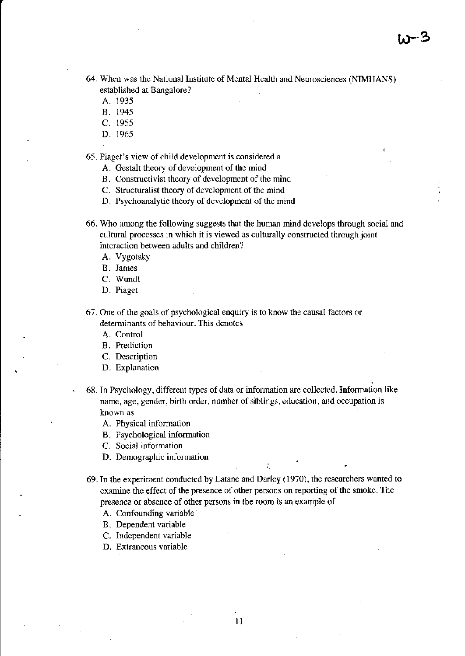- 64. When was the National Institute of Mental Health and Neurosciences (NIMHANS) established at Bangalore?
	- A. <sup>1935</sup>
	- B. <sup>1945</sup>
	- c. <sup>1955</sup>
	- D. 1965

65. Piaget's view of child developmcnt is considered a

- A. Gestalt theory of development of thc mind
- B. Constructivist theory of development of the mind
- C. Structuralist theory of development of the mind
- D. Psychoanalytic theory of development of thc mind
- 66. Who among the following suggests that the human mind develops through social and cultural processes in which it is viewed as culturally constructed through joint inicraction between adults and children?
	- A. Vygotsky
	- B. James
	- C. Wundt
	- D. Piaget

67 . One of the goals of psychological enquiry is to know the causal factors or determinants of behaviour. This denotes

A. Control

- B. Prediction
- C. Description
- D. Explanation
- 68. In Psychology, different types of data or information are collected. Information like name, age, gender, birth order, number of siblings, education, and occupation is known as
	- A. Physical information
	- B. Fsychological information
	- C. Social information
	- D. Demographic information
- 69. In the experiment conducted by Latane and Darley (1970), the researchers wanted to examine the effect of the presence of other persons on reporting of the smoke. The presence or abscnce of other persons in the room is an example of
	- A. Confounding variable
	- B. Dependent variable
	- C. lndependent variable
	- D. Extraneous variable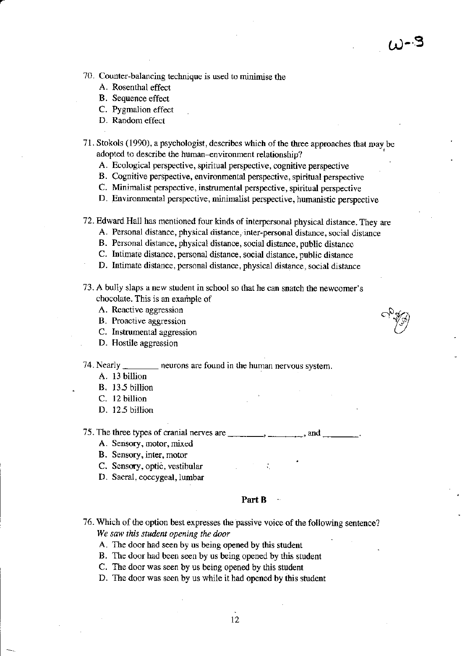70. Counter-balancing technique is used to minimise the

- A. Rosenthal effect
- **B.** Sequence effect
- C. Pygmalion effect
- D. Random effect

## 71. Stokols (1990), a psychologist, describes which of the three approaches that may be adopted to describe the human-environment relationship?

- A. Ecological perspective, spiritual perspective, cognitive perspective
- B. Cognitive perspective, environmental perspective, spiritual perspective
- C. Minimalist perspective, instrumental perspective, spiritual perspective
- D. Environmental perspective, minimalist perspective, humanistic perspective
- 72. Edward Hall has mentioned four kinds of interpersonal physical distance. They are
	- A. Personal distance, physical distance, inter-personal distance, social distance
	- B. Personal distance, physical distance, social distance, public distance
	- C. Intimate distance, personal distance, social distance, public distance
	- D. Intimate distance, personal distance, physical distance, social distance
- 73. A bully slaps a new student in school so that he can snatch the newcomer's chocolate. This is an example of
	- A. Reactive aggression
	- B. Proactive aggression
	- C. Instrumental aggression
	- D. Hostile aggression

74. Nearly  $\overline{a}$ neurons are found in the human nervous system.

- A. 13 billion
- B. 13.5 billion
- C. 12 billion
- D. 12.5 billion

75. The three types of cranial nerves are and

- A. Sensory, motor, mixed
- B. Sensory, inter, motor
- C. Sensory, optic, vestibular
- D. Sacral, coccygeal, lumbar

Part B

76. Which of the option best expresses the passive voice of the following sentence? We saw this student opening the door

A. The door had seen by us being opened by this student

- B. The door had been seen by us being opened by this student
- C. The door was seen by us being opened by this student
- D. The door was seen by us while it had opened by this student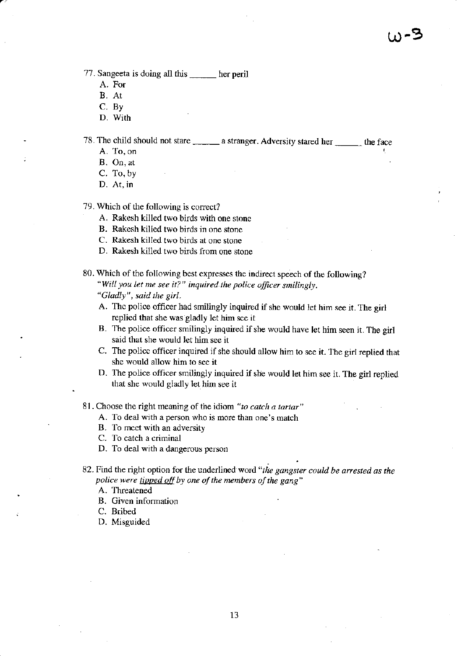77. Sangeeta is doing all this \_\_\_\_\_ her peril

- A. For
- B. At
- C. Bv
- D. With

78. The child should not stare \_\_\_\_\_\_\_ a stranger. Adversity stared her \_\_\_\_\_\_\_ the face

A. To. on

B. On, at

C. To, by

D. At, in

79. Which of the following is correct?

- A. Rakesh killed two birds with one stone
- B. Rakesh killed two birds in one stone
- C. Rakesh killed two birds at one stone
- D. Rekesh killed two birds from one stone

80. Which of the following best expresses the indirect speech of the following? "Will you let me see it?" inquired the police officer smilingly. "Gladly" , said the girl.

- A. Thc police officer had smilingty inquired if she would let him see it. The girl replied that she was gladly let him scc it
- B. The police officer smilingly inquired if she would have let him seen it. The girl said that she would let him see it
- C. The policc officer inquired if she should allow him to see it. Thc girl replied that she would allow him to see it
- D. The police officer smilingly inquired if she would let him see it. The girl replied that she would gladly let him see it

8l . Choose the right meaning of the idiom "to catch a tartar"

- A. To deal with a person who is morc ihan one's match
- B. To mcct with an adversity
- C. To catch a criminal
- D. To deal with a dangerous person
- 82. Find the right option for the underlined word "the gangster could be arrested as the police were tipped off by one of the members of the gang"

A. Threatened

B. Given information

C. Brihed

D. Misguided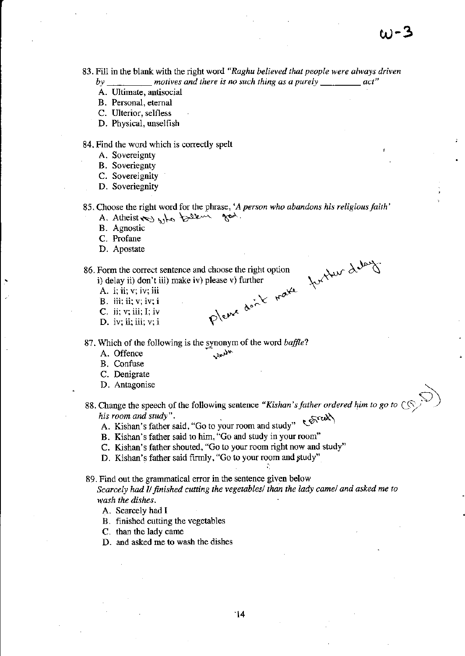83. Fill in the blank with the right word "Raghu believed that people were always driven

- by \_\_\_\_\_\_\_\_\_ motives and there is no such thing as a purely \_ act"
- A. Ultimate, antisocial
- B. Personal, eternal
- C. Ulterior, selfless
- D. Physical, unselfish

84. Find the word which is correctly spelt

- A. Sovereignty
- **B.** Soveriegnty
- C. Sovereignity
- D. Soveriegnity
- 85. Choose the right word for the phrase, 'A person who abandons his religious faith' A. Atheist and who believe god.
	-
	- **B.** Agnostic
	- C. Profane D. Apostate
- Please don't make further delays 86. Form the correct sentence and choose the right option i) delay ii) don't iii) make iv) please v) further
	- A. i; ii; v; iv; iii
	- **B.** iii; ii; v; iv; i
	- $C.$  ii; v; iii; I; iv
	- D. iv; ii; iii;  $v; i$

87. Which of the following is the synonym of the word baffle?

- A. Offence
- B. Confuse
- C. Denigrate
- D. Antagonise
- 88. Change the speech of the following sentence "Kishan's father ordered him to go to his room and study". A. Kishan's father said, "Go to your room and study"
	-
	- B. Kishan's father said to him, "Go and study in your room"
	- C. Kishan's father shouted, "Go to your room right now and study"
	- D. Kishan's father said firmly, "Go to your room and study"

89. Find out the grammatical error in the sentence given below

Scarcely had I/ finished cutting the vegetables/ than the lady came/ and asked me to wash the dishes.

- A. Scarcely had I
- B. finished cutting the vegetables
- C. than the lady came
- D. and asked me to wash the dishes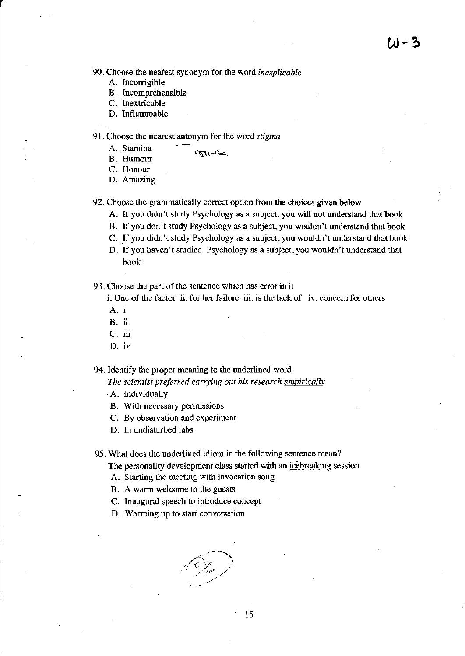90. Choose the nearest synonym for the word inexplicable

- A. Incorrigible
- B. Incomprehensible
- C. Inextricable
- D. Inflammable

91. Choose the nearest antonym for the word  $stigma$ 

A. Stamina

- B. Humour
- C. Honour
- D. Amazing

92. Choose the grammatically correct option from the choices given below

apporte,

- A. If you didn't study Psychology as a subject, you will not understand that book
- B. lf you don't study Psychology as a subject, you wouldn't understand that book
- C. If you didn't study Psychology as a subject, you wouldn't understand that book
- D. If you haven't studied Psychology as a subject, you wouldn't understand that book

93. Choose the part of the sentence which has error in it

 $i.$  One of the factor ii. for her failure iii. is the lack of iv. concern for others

- A.i
- B. ii
- c. iii
- D. iv

94. Identify the proper meaning to the underlined word

The scientist preferred carrying out his research empirically

A. lndividually

- B. With neccssary permissions
- C. By observation and experiment
- D. In undisturbed labs

95. What does the underlined idiom in the following sentence mean?

The personality development class started with an icebreaking session

A. Starting the meeting with invocation song

B. A warm welcome to the guests

C. Inaugural speech to intoduce concept

D. Warming up to start conversation

 $\not\in$ .'"at'

' 15